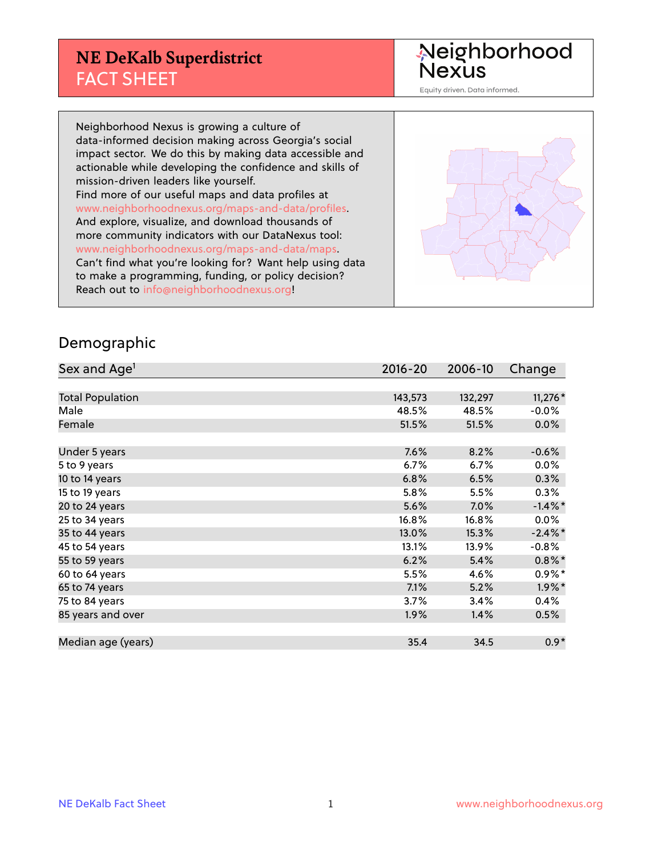### **NE DeKalb Superdistrict** FACT SHEET

Neighborhood<br>Nexus

Equity driven. Data informed.

Neighborhood Nexus is growing a culture of data-informed decision making across Georgia's social impact sector. We do this by making data accessible and actionable while developing the confidence and skills of mission-driven leaders like yourself. Find more of our useful maps and data profiles at www.neighborhoodnexus.org/maps-and-data/profiles. And explore, visualize, and download thousands of more community indicators with our DataNexus tool: www.neighborhoodnexus.org/maps-and-data/maps. Can't find what you're looking for? Want help using data to make a programming, funding, or policy decision? Reach out to [info@neighborhoodnexus.org!](mailto:info@neighborhoodnexus.org)



#### Demographic

| Sex and Age <sup>1</sup> | $2016 - 20$ | 2006-10 | Change     |
|--------------------------|-------------|---------|------------|
|                          |             |         |            |
| <b>Total Population</b>  | 143,573     | 132,297 | $11,276*$  |
| Male                     | 48.5%       | 48.5%   | $-0.0%$    |
| Female                   | 51.5%       | 51.5%   | 0.0%       |
|                          |             |         |            |
| Under 5 years            | 7.6%        | 8.2%    | $-0.6%$    |
| 5 to 9 years             | 6.7%        | 6.7%    | 0.0%       |
| 10 to 14 years           | 6.8%        | 6.5%    | 0.3%       |
| 15 to 19 years           | 5.8%        | 5.5%    | 0.3%       |
| 20 to 24 years           | 5.6%        | 7.0%    | $-1.4\%$ * |
| 25 to 34 years           | 16.8%       | 16.8%   | 0.0%       |
| 35 to 44 years           | 13.0%       | 15.3%   | $-2.4\%$ * |
| 45 to 54 years           | 13.1%       | 13.9%   | $-0.8%$    |
| 55 to 59 years           | 6.2%        | 5.4%    | $0.8\%$ *  |
| 60 to 64 years           | 5.5%        | 4.6%    | $0.9\%*$   |
| 65 to 74 years           | 7.1%        | 5.2%    | $1.9\%$ *  |
| 75 to 84 years           | 3.7%        | 3.4%    | 0.4%       |
| 85 years and over        | 1.9%        | 1.4%    | 0.5%       |
|                          |             |         |            |
| Median age (years)       | 35.4        | 34.5    | $0.9*$     |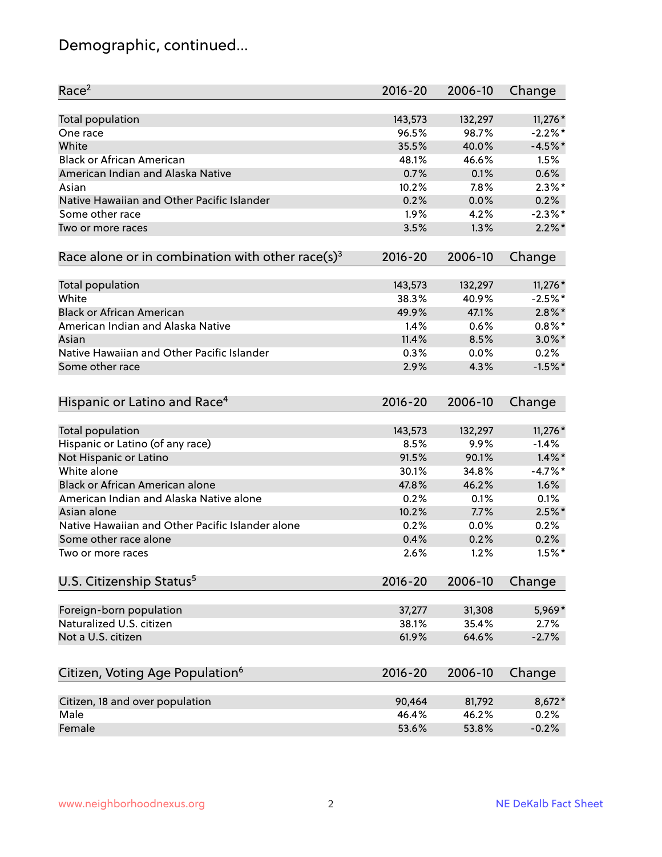# Demographic, continued...

| Race <sup>2</sup>                                            | $2016 - 20$ | 2006-10 | Change     |
|--------------------------------------------------------------|-------------|---------|------------|
| <b>Total population</b>                                      | 143,573     | 132,297 | 11,276 *   |
| One race                                                     | 96.5%       | 98.7%   | $-2.2%$ *  |
| White                                                        | 35.5%       | 40.0%   | $-4.5%$ *  |
| <b>Black or African American</b>                             | 48.1%       | 46.6%   | 1.5%       |
| American Indian and Alaska Native                            | 0.7%        | 0.1%    | 0.6%       |
| Asian                                                        | 10.2%       | 7.8%    | $2.3\%$ *  |
| Native Hawaiian and Other Pacific Islander                   | 0.2%        | 0.0%    | 0.2%       |
| Some other race                                              | 1.9%        | 4.2%    | $-2.3\%$ * |
| Two or more races                                            | 3.5%        | 1.3%    | $2.2\%$ *  |
| Race alone or in combination with other race(s) <sup>3</sup> | $2016 - 20$ | 2006-10 | Change     |
| Total population                                             | 143,573     | 132,297 | 11,276 *   |
| White                                                        | 38.3%       | 40.9%   | $-2.5%$ *  |
| <b>Black or African American</b>                             | 49.9%       | 47.1%   | $2.8\%$ *  |
| American Indian and Alaska Native                            | 1.4%        | 0.6%    | $0.8\%$ *  |
| Asian                                                        | 11.4%       | 8.5%    | $3.0\%$ *  |
| Native Hawaiian and Other Pacific Islander                   | 0.3%        | 0.0%    | 0.2%       |
| Some other race                                              | 2.9%        | 4.3%    | $-1.5%$ *  |
| Hispanic or Latino and Race <sup>4</sup>                     | $2016 - 20$ | 2006-10 | Change     |
| Total population                                             | 143,573     | 132,297 | 11,276 *   |
| Hispanic or Latino (of any race)                             | 8.5%        | 9.9%    | $-1.4%$    |
| Not Hispanic or Latino                                       | 91.5%       | 90.1%   | $1.4\%$ *  |
| White alone                                                  | 30.1%       | 34.8%   | $-4.7%$ *  |
| <b>Black or African American alone</b>                       | 47.8%       | 46.2%   | 1.6%       |
| American Indian and Alaska Native alone                      | 0.2%        | 0.1%    | 0.1%       |
| Asian alone                                                  | 10.2%       | 7.7%    | $2.5\%$ *  |
| Native Hawaiian and Other Pacific Islander alone             | 0.2%        | 0.0%    | 0.2%       |
| Some other race alone                                        | 0.4%        | 0.2%    | 0.2%       |
| Two or more races                                            | 2.6%        | 1.2%    | $1.5\%$ *  |
| U.S. Citizenship Status <sup>5</sup>                         | $2016 - 20$ | 2006-10 | Change     |
| Foreign-born population                                      | 37,277      | 31,308  | 5,969*     |
| Naturalized U.S. citizen                                     | 38.1%       | 35.4%   | 2.7%       |
| Not a U.S. citizen                                           | 61.9%       | 64.6%   | $-2.7%$    |
|                                                              |             |         |            |
| Citizen, Voting Age Population <sup>6</sup>                  | $2016 - 20$ | 2006-10 | Change     |
| Citizen, 18 and over population                              | 90,464      | 81,792  | 8,672*     |
| Male                                                         | 46.4%       | 46.2%   | 0.2%       |
| Female                                                       | 53.6%       | 53.8%   | $-0.2%$    |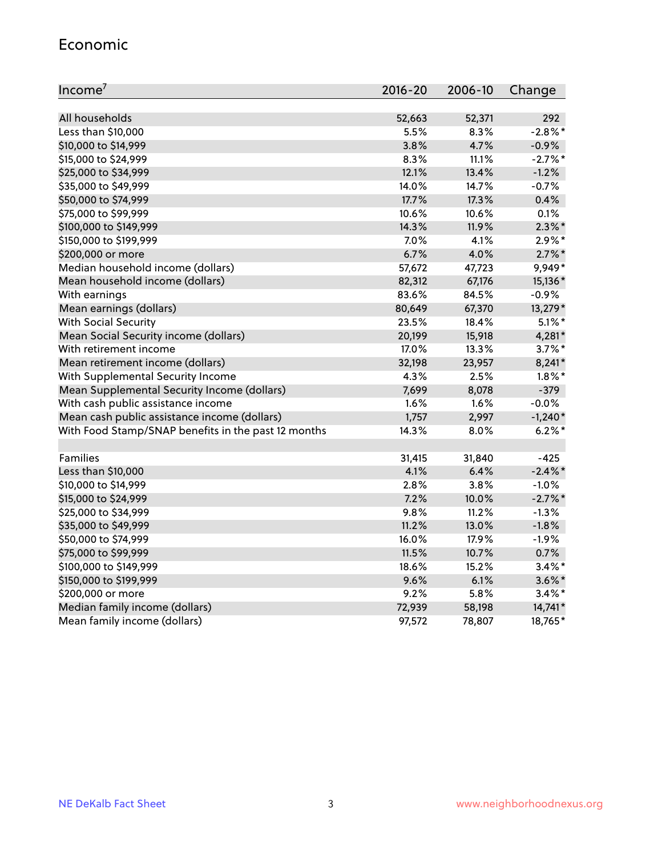#### Economic

| Income <sup>7</sup>                                 | 2016-20 | 2006-10 | Change     |
|-----------------------------------------------------|---------|---------|------------|
|                                                     |         |         |            |
| All households                                      | 52,663  | 52,371  | 292        |
| Less than \$10,000                                  | 5.5%    | 8.3%    | $-2.8\%$ * |
| \$10,000 to \$14,999                                | 3.8%    | 4.7%    | $-0.9%$    |
| \$15,000 to \$24,999                                | 8.3%    | 11.1%   | $-2.7\%$ * |
| \$25,000 to \$34,999                                | 12.1%   | 13.4%   | $-1.2%$    |
| \$35,000 to \$49,999                                | 14.0%   | 14.7%   | $-0.7%$    |
| \$50,000 to \$74,999                                | 17.7%   | 17.3%   | 0.4%       |
| \$75,000 to \$99,999                                | 10.6%   | 10.6%   | 0.1%       |
| \$100,000 to \$149,999                              | 14.3%   | 11.9%   | $2.3\%$ *  |
| \$150,000 to \$199,999                              | 7.0%    | 4.1%    | $2.9\%*$   |
| \$200,000 or more                                   | 6.7%    | 4.0%    | $2.7\%$ *  |
| Median household income (dollars)                   | 57,672  | 47,723  | 9,949*     |
| Mean household income (dollars)                     | 82,312  | 67,176  | 15,136*    |
| With earnings                                       | 83.6%   | 84.5%   | $-0.9%$    |
| Mean earnings (dollars)                             | 80,649  | 67,370  | 13,279*    |
| <b>With Social Security</b>                         | 23.5%   | 18.4%   | $5.1\%$ *  |
| Mean Social Security income (dollars)               | 20,199  | 15,918  | $4,281*$   |
| With retirement income                              | 17.0%   | 13.3%   | $3.7\%$ *  |
| Mean retirement income (dollars)                    | 32,198  | 23,957  | $8,241*$   |
| With Supplemental Security Income                   | 4.3%    | 2.5%    | $1.8\%$ *  |
| Mean Supplemental Security Income (dollars)         | 7,699   | 8,078   | $-379$     |
| With cash public assistance income                  | 1.6%    | 1.6%    | $-0.0\%$   |
| Mean cash public assistance income (dollars)        | 1,757   | 2,997   | $-1,240*$  |
| With Food Stamp/SNAP benefits in the past 12 months | 14.3%   | 8.0%    | $6.2\%$ *  |
|                                                     |         |         |            |
| Families                                            | 31,415  | 31,840  | $-425$     |
| Less than \$10,000                                  | 4.1%    | 6.4%    | $-2.4\%$ * |
| \$10,000 to \$14,999                                | 2.8%    | 3.8%    | $-1.0%$    |
| \$15,000 to \$24,999                                | 7.2%    | 10.0%   | $-2.7%$ *  |
| \$25,000 to \$34,999                                | 9.8%    | 11.2%   | $-1.3%$    |
| \$35,000 to \$49,999                                | 11.2%   | 13.0%   | $-1.8%$    |
| \$50,000 to \$74,999                                | 16.0%   | 17.9%   | $-1.9%$    |
| \$75,000 to \$99,999                                | 11.5%   | 10.7%   | 0.7%       |
| \$100,000 to \$149,999                              | 18.6%   | 15.2%   | $3.4\%$ *  |
| \$150,000 to \$199,999                              | 9.6%    | 6.1%    | $3.6\%$ *  |
| \$200,000 or more                                   | 9.2%    | 5.8%    | $3.4\%$ *  |
| Median family income (dollars)                      | 72,939  | 58,198  | 14,741*    |
| Mean family income (dollars)                        | 97,572  | 78,807  | 18,765*    |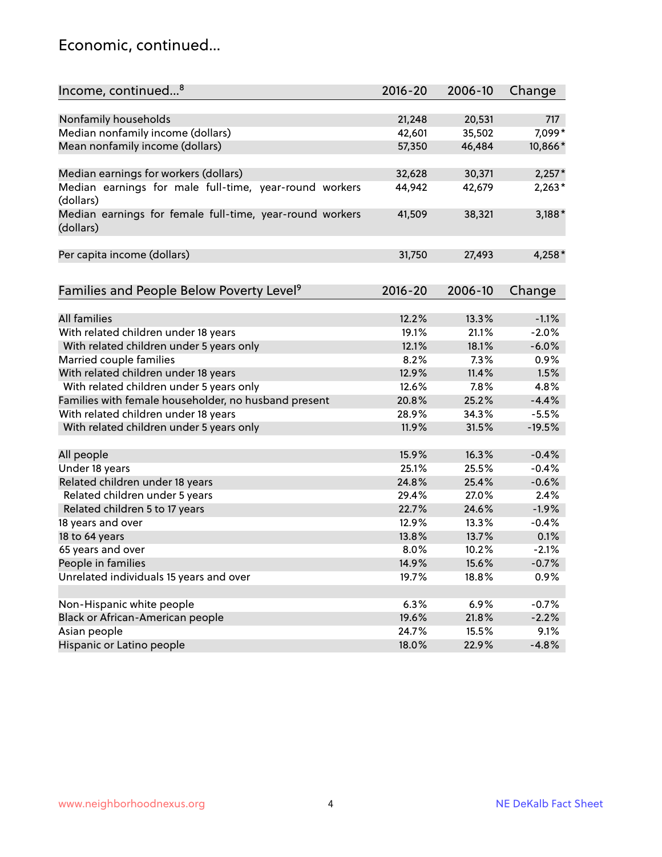#### Economic, continued...

| Income, continued <sup>8</sup>                                        | $2016 - 20$ | 2006-10 | Change   |
|-----------------------------------------------------------------------|-------------|---------|----------|
|                                                                       |             |         |          |
| Nonfamily households                                                  | 21,248      | 20,531  | 717      |
| Median nonfamily income (dollars)                                     | 42,601      | 35,502  | 7,099*   |
| Mean nonfamily income (dollars)                                       | 57,350      | 46,484  | 10,866*  |
| Median earnings for workers (dollars)                                 | 32,628      | 30,371  | $2,257*$ |
| Median earnings for male full-time, year-round workers<br>(dollars)   | 44,942      | 42,679  | $2,263*$ |
| Median earnings for female full-time, year-round workers<br>(dollars) | 41,509      | 38,321  | $3,188*$ |
| Per capita income (dollars)                                           | 31,750      | 27,493  | $4,258*$ |
|                                                                       |             |         |          |
| Families and People Below Poverty Level <sup>9</sup>                  | 2016-20     | 2006-10 | Change   |
| <b>All families</b>                                                   | 12.2%       | 13.3%   | $-1.1%$  |
| With related children under 18 years                                  | 19.1%       | 21.1%   | $-2.0%$  |
| With related children under 5 years only                              | 12.1%       | 18.1%   | $-6.0%$  |
| Married couple families                                               | 8.2%        | 7.3%    | 0.9%     |
| With related children under 18 years                                  | 12.9%       | 11.4%   | 1.5%     |
| With related children under 5 years only                              | 12.6%       | 7.8%    | 4.8%     |
| Families with female householder, no husband present                  | 20.8%       | 25.2%   | $-4.4%$  |
| With related children under 18 years                                  | 28.9%       | 34.3%   | $-5.5%$  |
| With related children under 5 years only                              | 11.9%       | 31.5%   | $-19.5%$ |
|                                                                       |             |         |          |
| All people                                                            | 15.9%       | 16.3%   | $-0.4%$  |
| Under 18 years                                                        | 25.1%       | 25.5%   | $-0.4%$  |
| Related children under 18 years                                       | 24.8%       | 25.4%   | $-0.6%$  |
| Related children under 5 years                                        | 29.4%       | 27.0%   | 2.4%     |
| Related children 5 to 17 years                                        | 22.7%       | 24.6%   | $-1.9%$  |
| 18 years and over                                                     | 12.9%       | 13.3%   | $-0.4%$  |
| 18 to 64 years                                                        | 13.8%       | 13.7%   | 0.1%     |
| 65 years and over                                                     | 8.0%        | 10.2%   | $-2.1%$  |
| People in families                                                    | 14.9%       | 15.6%   | $-0.7%$  |
| Unrelated individuals 15 years and over                               | 19.7%       | 18.8%   | 0.9%     |
|                                                                       |             |         |          |
| Non-Hispanic white people                                             | 6.3%        | 6.9%    | $-0.7%$  |
| Black or African-American people                                      | 19.6%       | 21.8%   | $-2.2%$  |
| Asian people                                                          | 24.7%       | 15.5%   | 9.1%     |
| Hispanic or Latino people                                             | 18.0%       | 22.9%   | $-4.8%$  |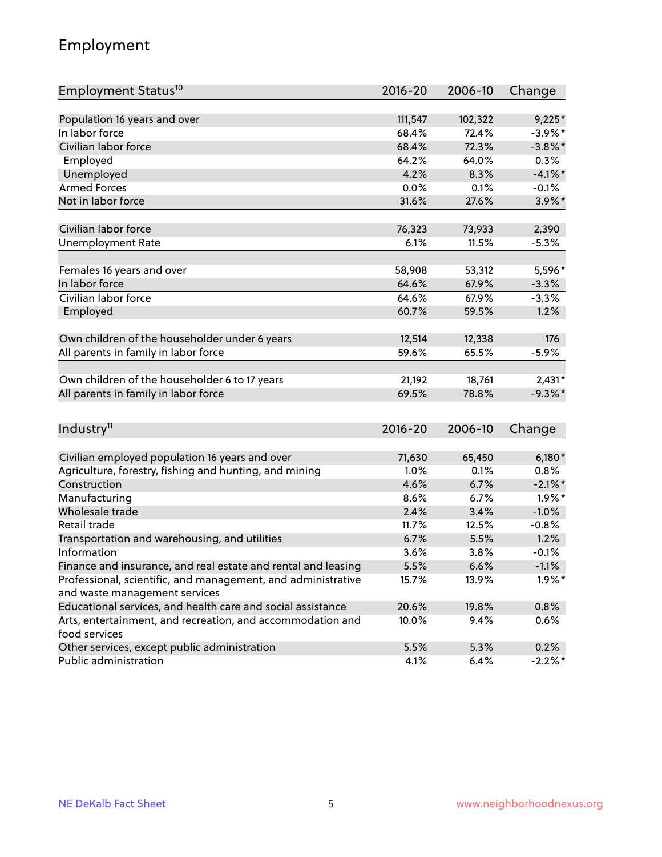# Employment

| Employment Status <sup>10</sup>                               | $2016 - 20$ | 2006-10 | Change     |
|---------------------------------------------------------------|-------------|---------|------------|
|                                                               |             |         |            |
| Population 16 years and over                                  | 111,547     | 102,322 | $9,225*$   |
| In labor force                                                | 68.4%       | 72.4%   | $-3.9\%$ * |
| Civilian labor force                                          | 68.4%       | 72.3%   | $-3.8\%$ * |
| Employed                                                      | 64.2%       | 64.0%   | 0.3%       |
| Unemployed                                                    | 4.2%        | 8.3%    | $-4.1\%$ * |
| <b>Armed Forces</b>                                           | 0.0%        | 0.1%    | $-0.1%$    |
| Not in labor force                                            | 31.6%       | 27.6%   | $3.9\%$ *  |
| Civilian labor force                                          | 76,323      | 73,933  | 2,390      |
| <b>Unemployment Rate</b>                                      | 6.1%        | 11.5%   | $-5.3%$    |
|                                                               |             |         |            |
| Females 16 years and over                                     | 58,908      | 53,312  | 5,596*     |
| In labor force                                                | 64.6%       | 67.9%   | $-3.3%$    |
| Civilian labor force                                          | 64.6%       | 67.9%   | $-3.3%$    |
| Employed                                                      | 60.7%       | 59.5%   | 1.2%       |
| Own children of the householder under 6 years                 | 12,514      | 12,338  | 176        |
| All parents in family in labor force                          | 59.6%       | 65.5%   | $-5.9%$    |
|                                                               |             |         |            |
| Own children of the householder 6 to 17 years                 | 21,192      | 18,761  | $2,431*$   |
| All parents in family in labor force                          | 69.5%       | 78.8%   | $-9.3%$ *  |
|                                                               |             |         |            |
| Industry <sup>11</sup>                                        | $2016 - 20$ | 2006-10 | Change     |
| Civilian employed population 16 years and over                | 71,630      | 65,450  | $6,180*$   |
| Agriculture, forestry, fishing and hunting, and mining        | 1.0%        | 0.1%    | 0.8%       |
| Construction                                                  | 4.6%        | 6.7%    | $-2.1\%$ * |
| Manufacturing                                                 | 8.6%        | 6.7%    | $1.9\%$ *  |
| Wholesale trade                                               | 2.4%        | 3.4%    | $-1.0%$    |
| Retail trade                                                  | 11.7%       | 12.5%   | $-0.8%$    |
| Transportation and warehousing, and utilities                 | 6.7%        | 5.5%    | 1.2%       |
| Information                                                   | 3.6%        | 3.8%    | $-0.1%$    |
| Finance and insurance, and real estate and rental and leasing | 5.5%        | 6.6%    | $-1.1%$    |
| Professional, scientific, and management, and administrative  | 15.7%       | 13.9%   | $1.9\%$ *  |
| and waste management services                                 |             |         |            |
| Educational services, and health care and social assistance   | 20.6%       | 19.8%   | 0.8%       |
| Arts, entertainment, and recreation, and accommodation and    | 10.0%       | 9.4%    | 0.6%       |
| food services                                                 |             |         |            |
| Other services, except public administration                  | 5.5%        | 5.3%    | 0.2%       |
| Public administration                                         | 4.1%        | 6.4%    | $-2.2\%$ * |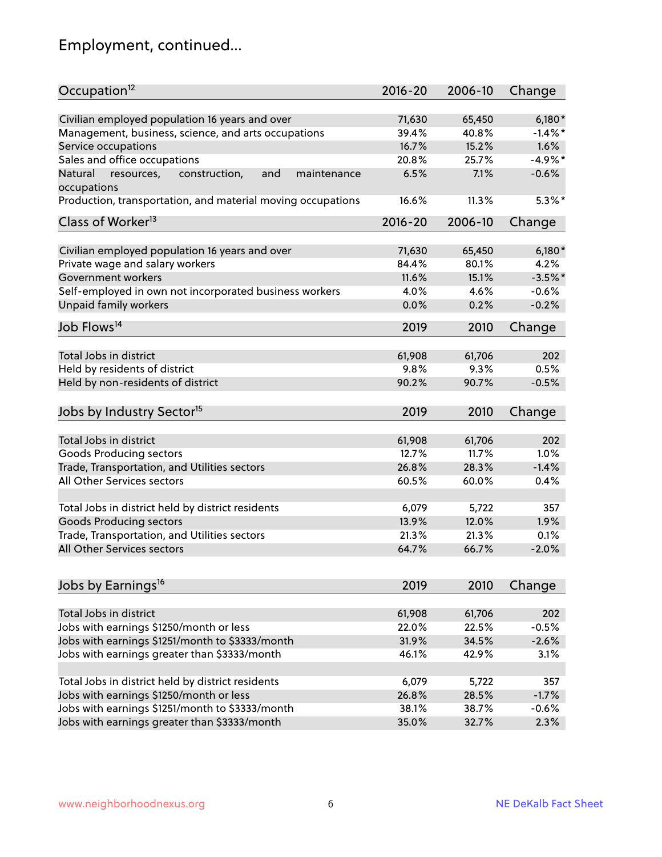# Employment, continued...

| Occupation <sup>12</sup>                                                          | $2016 - 20$ | 2006-10 | Change     |
|-----------------------------------------------------------------------------------|-------------|---------|------------|
| Civilian employed population 16 years and over                                    | 71,630      | 65,450  | $6,180*$   |
| Management, business, science, and arts occupations                               | 39.4%       | 40.8%   | $-1.4\%$ * |
| Service occupations                                                               | 16.7%       | 15.2%   | 1.6%       |
| Sales and office occupations                                                      | 20.8%       | 25.7%   | $-4.9%$ *  |
|                                                                                   |             | 7.1%    | $-0.6%$    |
| Natural<br>and<br>resources,<br>construction,<br>maintenance<br>occupations       | 6.5%        |         |            |
| Production, transportation, and material moving occupations                       | 16.6%       | 11.3%   | $5.3\%$ *  |
| Class of Worker <sup>13</sup>                                                     | $2016 - 20$ | 2006-10 | Change     |
|                                                                                   | 71,630      | 65,450  | $6,180*$   |
| Civilian employed population 16 years and over<br>Private wage and salary workers | 84.4%       | 80.1%   | 4.2%       |
|                                                                                   |             |         |            |
| Government workers                                                                | 11.6%       | 15.1%   | $-3.5%$ *  |
| Self-employed in own not incorporated business workers                            | 4.0%        | 4.6%    | $-0.6%$    |
| Unpaid family workers                                                             | 0.0%        | 0.2%    | $-0.2%$    |
| Job Flows <sup>14</sup>                                                           | 2019        | 2010    | Change     |
|                                                                                   |             |         |            |
| Total Jobs in district                                                            | 61,908      | 61,706  | 202        |
| Held by residents of district                                                     | 9.8%        | 9.3%    | 0.5%       |
| Held by non-residents of district                                                 | 90.2%       | 90.7%   | $-0.5%$    |
| Jobs by Industry Sector <sup>15</sup>                                             | 2019        | 2010    | Change     |
|                                                                                   |             |         |            |
| Total Jobs in district                                                            | 61,908      | 61,706  | 202        |
| Goods Producing sectors                                                           | 12.7%       | 11.7%   | 1.0%       |
| Trade, Transportation, and Utilities sectors                                      | 26.8%       | 28.3%   | $-1.4%$    |
| All Other Services sectors                                                        | 60.5%       | 60.0%   | 0.4%       |
| Total Jobs in district held by district residents                                 | 6,079       | 5,722   | 357        |
| <b>Goods Producing sectors</b>                                                    | 13.9%       | 12.0%   | 1.9%       |
| Trade, Transportation, and Utilities sectors                                      | 21.3%       | 21.3%   | 0.1%       |
| All Other Services sectors                                                        | 64.7%       | 66.7%   | $-2.0%$    |
|                                                                                   |             |         |            |
| Jobs by Earnings <sup>16</sup>                                                    | 2019        | 2010    | Change     |
| Total Jobs in district                                                            |             |         |            |
|                                                                                   | 61,908      | 61,706  | 202        |
| Jobs with earnings \$1250/month or less                                           | 22.0%       | 22.5%   | $-0.5%$    |
| Jobs with earnings \$1251/month to \$3333/month                                   | 31.9%       | 34.5%   | $-2.6%$    |
| Jobs with earnings greater than \$3333/month                                      | 46.1%       | 42.9%   | 3.1%       |
| Total Jobs in district held by district residents                                 | 6,079       | 5,722   | 357        |
| Jobs with earnings \$1250/month or less                                           | 26.8%       | 28.5%   | $-1.7%$    |
| Jobs with earnings \$1251/month to \$3333/month                                   | 38.1%       | 38.7%   | $-0.6%$    |
| Jobs with earnings greater than \$3333/month                                      | 35.0%       | 32.7%   | 2.3%       |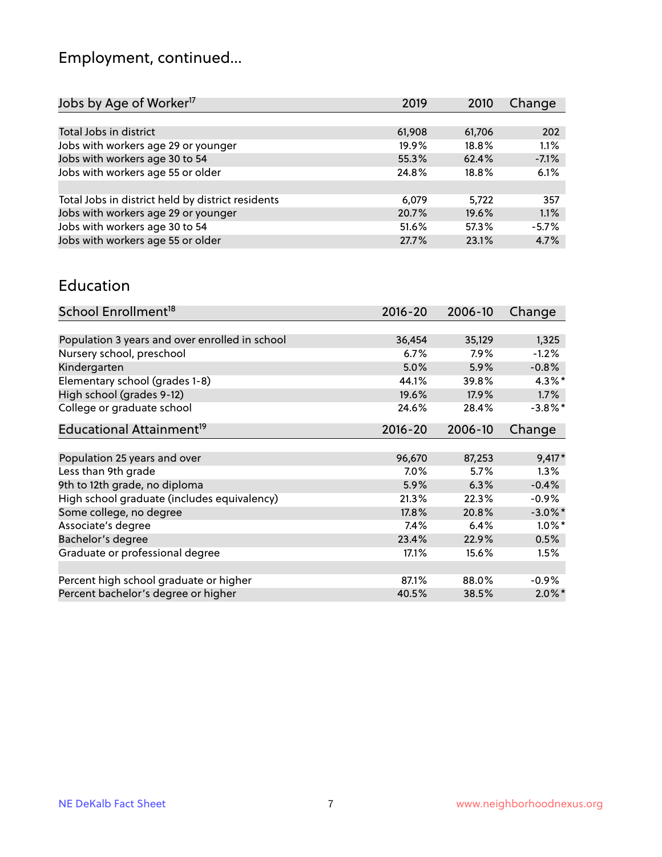# Employment, continued...

| Jobs by Age of Worker <sup>17</sup>               | 2019   | 2010   | Change  |
|---------------------------------------------------|--------|--------|---------|
|                                                   |        |        |         |
| Total Jobs in district                            | 61,908 | 61,706 | 202     |
| Jobs with workers age 29 or younger               | 19.9%  | 18.8%  | 1.1%    |
| Jobs with workers age 30 to 54                    | 55.3%  | 62.4%  | $-7.1%$ |
| Jobs with workers age 55 or older                 | 24.8%  | 18.8%  | 6.1%    |
|                                                   |        |        |         |
| Total Jobs in district held by district residents | 6,079  | 5,722  | 357     |
| Jobs with workers age 29 or younger               | 20.7%  | 19.6%  | 1.1%    |
| Jobs with workers age 30 to 54                    | 51.6%  | 57.3%  | $-5.7%$ |
| Jobs with workers age 55 or older                 | 27.7%  | 23.1%  | 4.7%    |
|                                                   |        |        |         |

#### Education

| School Enrollment <sup>18</sup>                | $2016 - 20$ | 2006-10 | Change     |
|------------------------------------------------|-------------|---------|------------|
|                                                |             |         |            |
| Population 3 years and over enrolled in school | 36,454      | 35,129  | 1,325      |
| Nursery school, preschool                      | 6.7%        | 7.9%    | $-1.2%$    |
| Kindergarten                                   | 5.0%        | 5.9%    | $-0.8%$    |
| Elementary school (grades 1-8)                 | 44.1%       | 39.8%   | $4.3\%$ *  |
| High school (grades 9-12)                      | 19.6%       | 17.9%   | 1.7%       |
| College or graduate school                     | 24.6%       | 28.4%   | $-3.8\%$ * |
| Educational Attainment <sup>19</sup>           | $2016 - 20$ | 2006-10 | Change     |
|                                                |             |         |            |
| Population 25 years and over                   | 96,670      | 87,253  | $9,417*$   |
| Less than 9th grade                            | $7.0\%$     | 5.7%    | 1.3%       |
| 9th to 12th grade, no diploma                  | 5.9%        | 6.3%    | $-0.4%$    |
| High school graduate (includes equivalency)    | 21.3%       | 22.3%   | $-0.9%$    |
| Some college, no degree                        | 17.8%       | 20.8%   | $-3.0\%$ * |
| Associate's degree                             | 7.4%        | 6.4%    | $1.0\%$ *  |
| Bachelor's degree                              | 23.4%       | 22.9%   | 0.5%       |
| Graduate or professional degree                | 17.1%       | 15.6%   | 1.5%       |
|                                                |             |         |            |
| Percent high school graduate or higher         | 87.1%       | 88.0%   | $-0.9\%$   |
| Percent bachelor's degree or higher            | 40.5%       | 38.5%   | $2.0\%$ *  |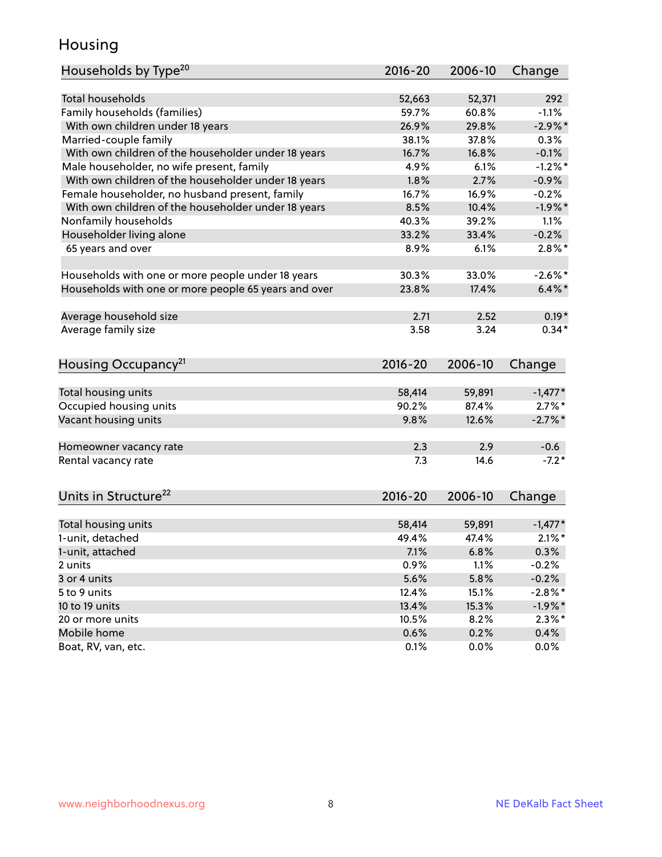#### Housing

| Households by Type <sup>20</sup>                     | 2016-20       | 2006-10      | Change       |
|------------------------------------------------------|---------------|--------------|--------------|
|                                                      |               |              |              |
| <b>Total households</b>                              | 52,663        | 52,371       | 292          |
| Family households (families)                         | 59.7%         | 60.8%        | $-1.1%$      |
| With own children under 18 years                     | 26.9%         | 29.8%        | $-2.9\%$ *   |
| Married-couple family                                | 38.1%         | 37.8%        | 0.3%         |
| With own children of the householder under 18 years  | 16.7%         | 16.8%        | $-0.1%$      |
| Male householder, no wife present, family            | 4.9%          | 6.1%         | $-1.2%$ *    |
| With own children of the householder under 18 years  | 1.8%          | 2.7%         | $-0.9%$      |
| Female householder, no husband present, family       | 16.7%         | 16.9%        | $-0.2%$      |
| With own children of the householder under 18 years  | 8.5%          | 10.4%        | $-1.9%$ *    |
| Nonfamily households                                 | 40.3%         | 39.2%        | 1.1%         |
| Householder living alone                             | 33.2%         | 33.4%        | $-0.2%$      |
| 65 years and over                                    | 8.9%          | 6.1%         | $2.8\%$ *    |
|                                                      |               |              |              |
| Households with one or more people under 18 years    | 30.3%         | 33.0%        | $-2.6\%$ *   |
| Households with one or more people 65 years and over | 23.8%         | 17.4%        | $6.4\%$ *    |
| Average household size                               | 2.71          | 2.52         | $0.19*$      |
| Average family size                                  | 3.58          | 3.24         | $0.34*$      |
|                                                      |               |              |              |
| Housing Occupancy <sup>21</sup>                      | $2016 - 20$   | 2006-10      | Change       |
|                                                      |               |              |              |
| Total housing units                                  | 58,414        | 59,891       | $-1,477*$    |
| Occupied housing units                               | 90.2%         | 87.4%        | $2.7\%$ *    |
| Vacant housing units                                 | 9.8%          | 12.6%        | $-2.7\%$ *   |
| Homeowner vacancy rate                               | 2.3           | 2.9          | $-0.6$       |
| Rental vacancy rate                                  | 7.3           | 14.6         | $-7.2*$      |
|                                                      |               |              |              |
| Units in Structure <sup>22</sup>                     | $2016 - 20$   | 2006-10      | Change       |
| Total housing units                                  | 58,414        | 59,891       | $-1,477*$    |
| 1-unit, detached                                     | 49.4%         | 47.4%        | $2.1\%$ *    |
| 1-unit, attached                                     | 7.1%          | 6.8%         | 0.3%         |
| 2 units                                              | 0.9%          | 1.1%         | $-0.2%$      |
| 3 or 4 units                                         | 5.6%          | 5.8%         | $-0.2%$      |
| 5 to 9 units                                         | 12.4%         | 15.1%        | $-2.8\%$ *   |
| 10 to 19 units                                       |               | 15.3%        |              |
|                                                      | 13.4%         |              | $-1.9\%$ *   |
| 20 or more units<br>Mobile home                      | 10.5%<br>0.6% | 8.2%<br>0.2% | $2.3\%*$     |
| Boat, RV, van, etc.                                  | 0.1%          | 0.0%         | 0.4%<br>0.0% |
|                                                      |               |              |              |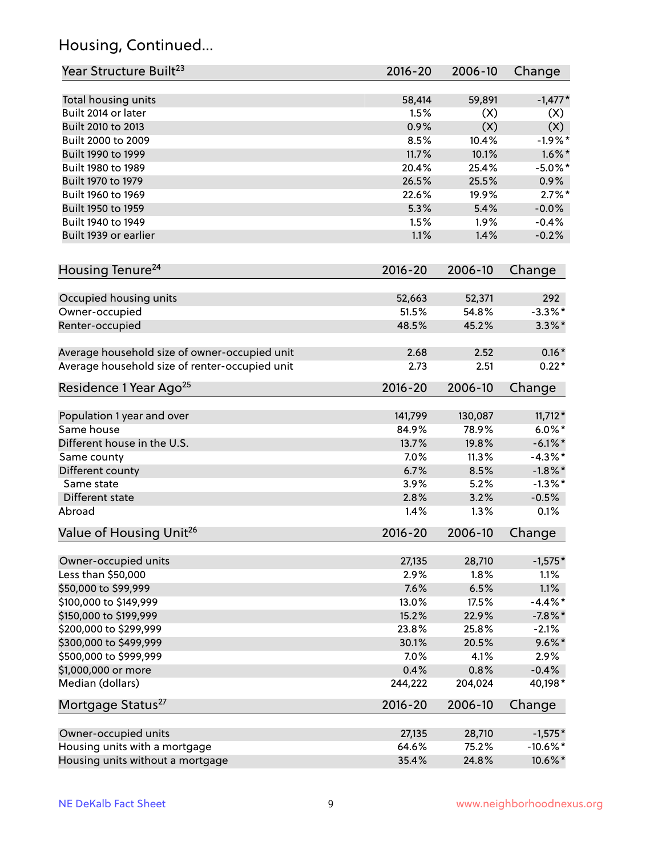# Housing, Continued...

| Year Structure Built <sup>23</sup>             | 2016-20     | 2006-10 | Change                 |
|------------------------------------------------|-------------|---------|------------------------|
| Total housing units                            | 58,414      | 59,891  | $-1,477*$              |
| Built 2014 or later                            | 1.5%        | (X)     | (X)                    |
| Built 2010 to 2013                             | 0.9%        | (X)     | (X)                    |
| Built 2000 to 2009                             | 8.5%        | 10.4%   | $-1.9%$ *              |
| Built 1990 to 1999                             | 11.7%       | 10.1%   | $1.6\%$ *              |
| Built 1980 to 1989                             | 20.4%       | 25.4%   | $-5.0\%$ *             |
| Built 1970 to 1979                             | 26.5%       | 25.5%   | 0.9%                   |
| Built 1960 to 1969                             | 22.6%       | 19.9%   | $2.7\%$ *              |
| Built 1950 to 1959                             | 5.3%        | 5.4%    | $-0.0%$                |
| Built 1940 to 1949                             | 1.5%        | 1.9%    | $-0.4%$                |
| Built 1939 or earlier                          | 1.1%        | 1.4%    | $-0.2%$                |
| Housing Tenure <sup>24</sup>                   | $2016 - 20$ | 2006-10 | Change                 |
|                                                |             |         |                        |
| Occupied housing units                         | 52,663      | 52,371  | 292                    |
| Owner-occupied                                 | 51.5%       | 54.8%   | $-3.3\%$ *             |
| Renter-occupied                                | 48.5%       | 45.2%   | $3.3\%$ *              |
| Average household size of owner-occupied unit  | 2.68        | 2.52    | $0.16*$                |
| Average household size of renter-occupied unit | 2.73        | 2.51    | $0.22*$                |
| Residence 1 Year Ago <sup>25</sup>             | $2016 - 20$ | 2006-10 | Change                 |
|                                                |             |         |                        |
| Population 1 year and over<br>Same house       | 141,799     | 130,087 | $11,712*$<br>$6.0\%$ * |
|                                                | 84.9%       | 78.9%   |                        |
| Different house in the U.S.                    | 13.7%       | 19.8%   | $-6.1\%$ *             |
| Same county                                    | 7.0%        | 11.3%   | $-4.3\%$ *             |
| Different county                               | 6.7%        | 8.5%    | $-1.8\%$ *             |
| Same state                                     | 3.9%        | 5.2%    | $-1.3\%$ *             |
| Different state                                | 2.8%        | 3.2%    | $-0.5%$                |
| Abroad                                         | 1.4%        | 1.3%    | 0.1%                   |
| Value of Housing Unit <sup>26</sup>            | $2016 - 20$ | 2006-10 | Change                 |
| Owner-occupied units                           | 27,135      | 28,710  | $-1,575*$              |
| Less than \$50,000                             | 2.9%        | 1.8%    | 1.1%                   |
| \$50,000 to \$99,999                           | 7.6%        | 6.5%    | 1.1%                   |
| \$100,000 to \$149,999                         | 13.0%       | 17.5%   | $-4.4\%$ *             |
| \$150,000 to \$199,999                         | 15.2%       | 22.9%   | $-7.8\%$ *             |
| \$200,000 to \$299,999                         | 23.8%       | 25.8%   | $-2.1%$                |
| \$300,000 to \$499,999                         | 30.1%       | 20.5%   | $9.6\% *$              |
| \$500,000 to \$999,999                         | 7.0%        | 4.1%    | 2.9%                   |
| \$1,000,000 or more                            | 0.4%        | 0.8%    | $-0.4%$                |
| Median (dollars)                               | 244,222     | 204,024 | 40,198*                |
| Mortgage Status <sup>27</sup>                  | $2016 - 20$ | 2006-10 | Change                 |
| Owner-occupied units                           | 27,135      | 28,710  | $-1,575*$              |
| Housing units with a mortgage                  | 64.6%       | 75.2%   | $-10.6\%$ *            |
| Housing units without a mortgage               | 35.4%       | 24.8%   | 10.6%*                 |
|                                                |             |         |                        |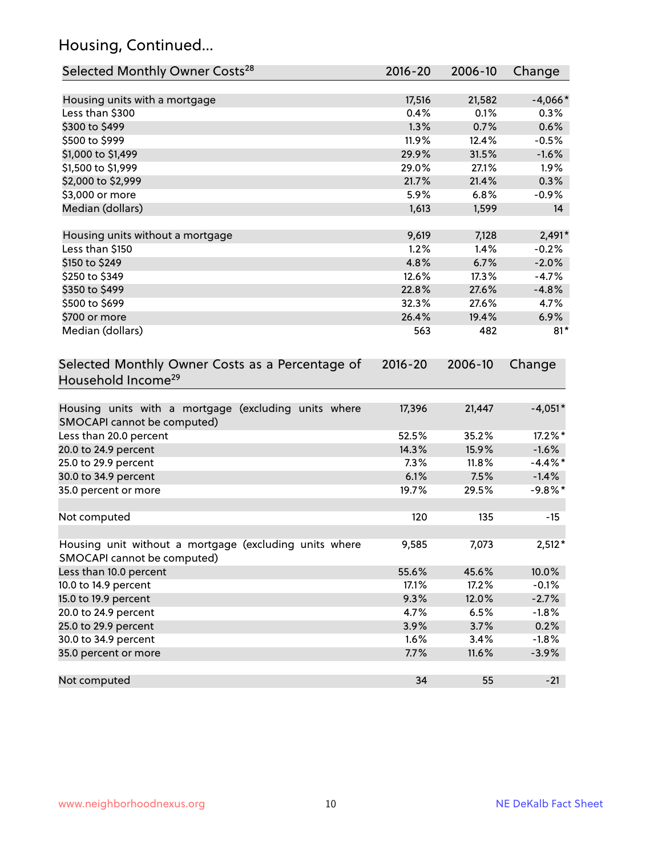# Housing, Continued...

| Selected Monthly Owner Costs <sup>28</sup>                                            | 2016-20     | 2006-10 | Change     |
|---------------------------------------------------------------------------------------|-------------|---------|------------|
| Housing units with a mortgage                                                         | 17,516      | 21,582  | $-4,066*$  |
| Less than \$300                                                                       | 0.4%        | 0.1%    | 0.3%       |
| \$300 to \$499                                                                        | 1.3%        | 0.7%    | 0.6%       |
| \$500 to \$999                                                                        | 11.9%       | 12.4%   | $-0.5%$    |
| \$1,000 to \$1,499                                                                    | 29.9%       | 31.5%   | $-1.6%$    |
| \$1,500 to \$1,999                                                                    | 29.0%       | 27.1%   | 1.9%       |
| \$2,000 to \$2,999                                                                    | 21.7%       | 21.4%   | 0.3%       |
| \$3,000 or more                                                                       | 5.9%        | 6.8%    | $-0.9%$    |
| Median (dollars)                                                                      | 1,613       | 1,599   | 14         |
| Housing units without a mortgage                                                      | 9,619       | 7,128   | $2,491*$   |
| Less than \$150                                                                       | 1.2%        | 1.4%    | $-0.2%$    |
| \$150 to \$249                                                                        | 4.8%        | 6.7%    | $-2.0%$    |
| \$250 to \$349                                                                        | 12.6%       | 17.3%   | $-4.7%$    |
| \$350 to \$499                                                                        | 22.8%       | 27.6%   | $-4.8%$    |
| \$500 to \$699                                                                        | 32.3%       | 27.6%   | 4.7%       |
| \$700 or more                                                                         | 26.4%       | 19.4%   | 6.9%       |
| Median (dollars)                                                                      | 563         | 482     | $81*$      |
| Selected Monthly Owner Costs as a Percentage of<br>Household Income <sup>29</sup>     | $2016 - 20$ | 2006-10 | Change     |
| Housing units with a mortgage (excluding units where<br>SMOCAPI cannot be computed)   | 17,396      | 21,447  | $-4,051*$  |
| Less than 20.0 percent                                                                | 52.5%       | 35.2%   | 17.2%*     |
| 20.0 to 24.9 percent                                                                  | 14.3%       | 15.9%   | $-1.6%$    |
| 25.0 to 29.9 percent                                                                  | 7.3%        | 11.8%   | $-4.4\%$ * |
| 30.0 to 34.9 percent                                                                  | 6.1%        | 7.5%    | $-1.4%$    |
| 35.0 percent or more                                                                  | 19.7%       | 29.5%   | $-9.8%$ *  |
| Not computed                                                                          | 120         | 135     | $-15$      |
| Housing unit without a mortgage (excluding units where<br>SMOCAPI cannot be computed) | 9,585       | 7,073   | $2,512*$   |
| Less than 10.0 percent                                                                | 55.6%       | 45.6%   | 10.0%      |
| 10.0 to 14.9 percent                                                                  | 17.1%       | 17.2%   | $-0.1%$    |
| 15.0 to 19.9 percent                                                                  | 9.3%        | 12.0%   | $-2.7%$    |
| 20.0 to 24.9 percent                                                                  | 4.7%        | 6.5%    | $-1.8%$    |
| 25.0 to 29.9 percent                                                                  | 3.9%        | 3.7%    | 0.2%       |
| 30.0 to 34.9 percent                                                                  | 1.6%        | 3.4%    | $-1.8%$    |
| 35.0 percent or more                                                                  | 7.7%        | 11.6%   | $-3.9%$    |
| Not computed                                                                          | 34          | 55      | $-21$      |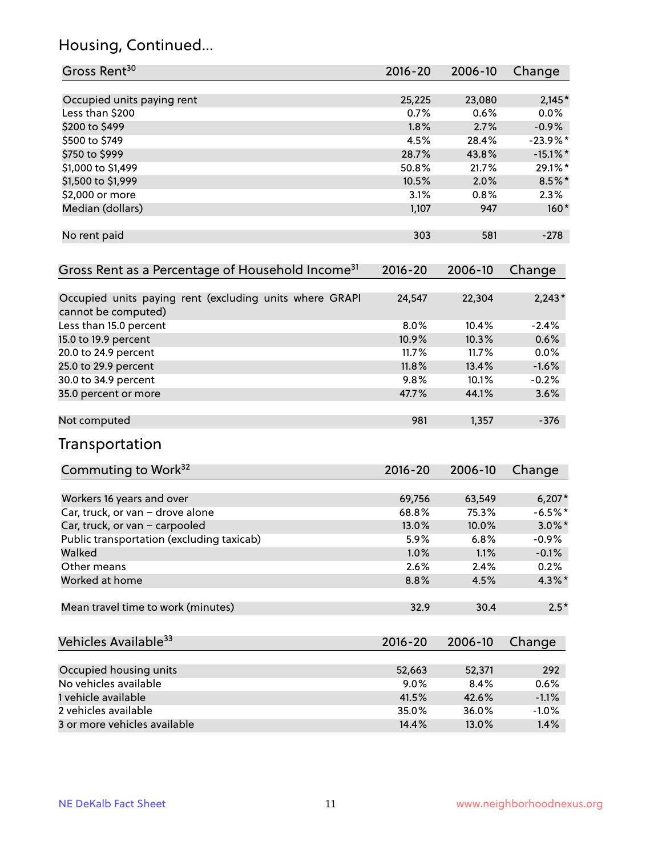# Housing, Continued...

| Gross Rent <sup>30</sup>                                                       | 2016-20     | 2006-10 | Change      |
|--------------------------------------------------------------------------------|-------------|---------|-------------|
|                                                                                |             |         |             |
| Occupied units paying rent                                                     | 25,225      | 23,080  | $2,145*$    |
| Less than \$200                                                                | 0.7%        | 0.6%    | $0.0\%$     |
| \$200 to \$499                                                                 | 1.8%        | 2.7%    | $-0.9%$     |
| \$500 to \$749                                                                 | 4.5%        | 28.4%   | $-23.9%$ *  |
| \$750 to \$999                                                                 | 28.7%       | 43.8%   | $-15.1\%$ * |
| \$1,000 to \$1,499                                                             | 50.8%       | 21.7%   | 29.1%*      |
| \$1,500 to \$1,999                                                             | 10.5%       | 2.0%    | $8.5\%$ *   |
| \$2,000 or more                                                                | 3.1%        | 0.8%    | 2.3%        |
| Median (dollars)                                                               | 1,107       | 947     | $160*$      |
| No rent paid                                                                   | 303         | 581     | $-278$      |
| Gross Rent as a Percentage of Household Income <sup>31</sup>                   | $2016 - 20$ | 2006-10 | Change      |
| Occupied units paying rent (excluding units where GRAPI<br>cannot be computed) | 24,547      | 22,304  | $2,243*$    |
| Less than 15.0 percent                                                         | 8.0%        | 10.4%   | $-2.4%$     |
| 15.0 to 19.9 percent                                                           | 10.9%       | 10.3%   | 0.6%        |
|                                                                                | 11.7%       | 11.7%   | 0.0%        |
| 20.0 to 24.9 percent                                                           |             |         |             |
| 25.0 to 29.9 percent                                                           | 11.8%       | 13.4%   | $-1.6%$     |
| 30.0 to 34.9 percent                                                           | 9.8%        | 10.1%   | $-0.2%$     |
| 35.0 percent or more                                                           | 47.7%       | 44.1%   | 3.6%        |
| Not computed                                                                   | 981         | 1,357   | $-376$      |
| Transportation                                                                 |             |         |             |
| Commuting to Work <sup>32</sup>                                                | 2016-20     | 2006-10 | Change      |
| Workers 16 years and over                                                      | 69,756      | 63,549  | $6,207*$    |
| Car, truck, or van - drove alone                                               | 68.8%       | 75.3%   | $-6.5%$ *   |
| Car, truck, or van - carpooled                                                 | 13.0%       | 10.0%   | $3.0\%$ *   |
| Public transportation (excluding taxicab)                                      | 5.9%        | 6.8%    | $-0.9%$     |
| Walked                                                                         | 1.0%        | 1.1%    | $-0.1%$     |
| Other means                                                                    | 2.6%        | 2.4%    | 0.2%        |
| Worked at home                                                                 | 8.8%        | 4.5%    | $4.3\%$ *   |
| Mean travel time to work (minutes)                                             | 32.9        | 30.4    | $2.5*$      |
| Vehicles Available <sup>33</sup>                                               | 2016-20     | 2006-10 | Change      |
| Occupied housing units                                                         | 52,663      | 52,371  | 292         |
| No vehicles available                                                          | 9.0%        | 8.4%    | 0.6%        |
| 1 vehicle available                                                            | 41.5%       | 42.6%   | $-1.1%$     |
| 2 vehicles available                                                           | 35.0%       | 36.0%   | $-1.0%$     |
| 3 or more vehicles available                                                   | 14.4%       | 13.0%   | 1.4%        |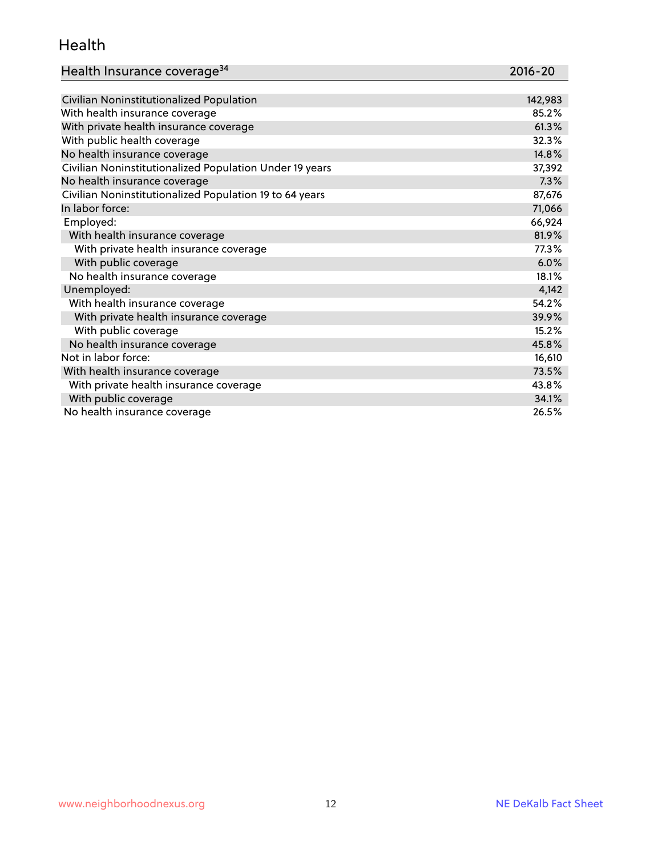#### Health

| Health Insurance coverage <sup>34</sup> | 2016-20 |
|-----------------------------------------|---------|
|-----------------------------------------|---------|

| Civilian Noninstitutionalized Population                | 142,983 |
|---------------------------------------------------------|---------|
| With health insurance coverage                          | 85.2%   |
| With private health insurance coverage                  | 61.3%   |
| With public health coverage                             | 32.3%   |
| No health insurance coverage                            | 14.8%   |
| Civilian Noninstitutionalized Population Under 19 years | 37,392  |
| No health insurance coverage                            | 7.3%    |
| Civilian Noninstitutionalized Population 19 to 64 years | 87,676  |
| In labor force:                                         | 71,066  |
| Employed:                                               | 66,924  |
| With health insurance coverage                          | 81.9%   |
| With private health insurance coverage                  | 77.3%   |
| With public coverage                                    | 6.0%    |
| No health insurance coverage                            | 18.1%   |
| Unemployed:                                             | 4,142   |
| With health insurance coverage                          | 54.2%   |
| With private health insurance coverage                  | 39.9%   |
| With public coverage                                    | 15.2%   |
| No health insurance coverage                            | 45.8%   |
| Not in labor force:                                     | 16,610  |
| With health insurance coverage                          | 73.5%   |
| With private health insurance coverage                  | 43.8%   |
| With public coverage                                    | 34.1%   |
| No health insurance coverage                            | 26.5%   |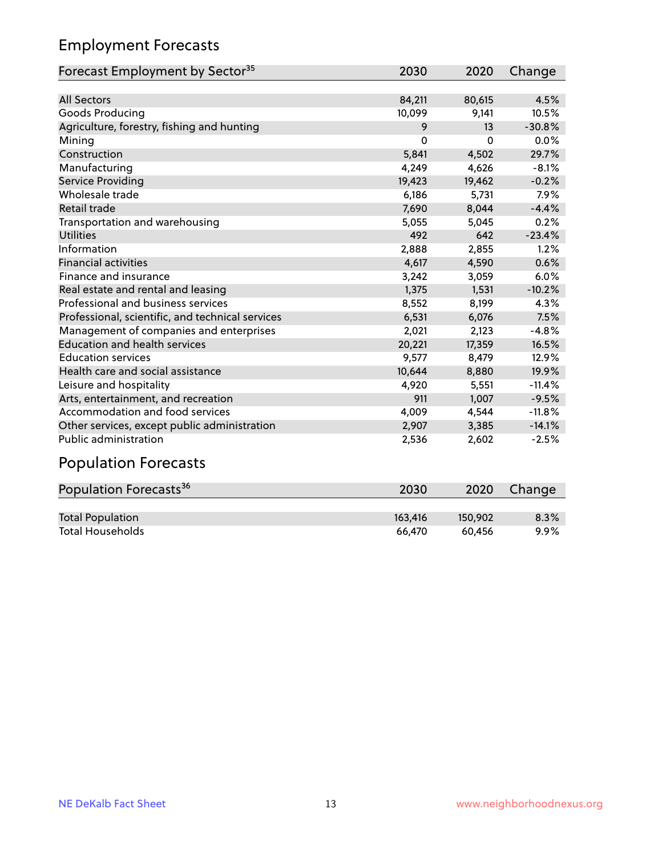# Employment Forecasts

| Forecast Employment by Sector <sup>35</sup>      | 2030     | 2020     | Change   |
|--------------------------------------------------|----------|----------|----------|
|                                                  |          |          |          |
| <b>All Sectors</b>                               | 84,211   | 80,615   | 4.5%     |
| Goods Producing                                  | 10,099   | 9,141    | 10.5%    |
| Agriculture, forestry, fishing and hunting       | 9        | 13       | $-30.8%$ |
| Mining                                           | $\Omega$ | $\Omega$ | 0.0%     |
| Construction                                     | 5,841    | 4,502    | 29.7%    |
| Manufacturing                                    | 4,249    | 4,626    | $-8.1%$  |
| Service Providing                                | 19,423   | 19,462   | $-0.2%$  |
| Wholesale trade                                  | 6,186    | 5,731    | 7.9%     |
| Retail trade                                     | 7,690    | 8,044    | $-4.4%$  |
| Transportation and warehousing                   | 5,055    | 5,045    | 0.2%     |
| <b>Utilities</b>                                 | 492      | 642      | $-23.4%$ |
| Information                                      | 2,888    | 2,855    | 1.2%     |
| <b>Financial activities</b>                      | 4,617    | 4,590    | 0.6%     |
| Finance and insurance                            | 3,242    | 3,059    | 6.0%     |
| Real estate and rental and leasing               | 1,375    | 1,531    | $-10.2%$ |
| Professional and business services               | 8,552    | 8,199    | 4.3%     |
| Professional, scientific, and technical services | 6,531    | 6,076    | 7.5%     |
| Management of companies and enterprises          | 2,021    | 2,123    | $-4.8%$  |
| <b>Education and health services</b>             | 20,221   | 17,359   | 16.5%    |
| <b>Education services</b>                        | 9,577    | 8,479    | 12.9%    |
| Health care and social assistance                | 10,644   | 8,880    | 19.9%    |
| Leisure and hospitality                          | 4,920    | 5,551    | $-11.4%$ |
| Arts, entertainment, and recreation              | 911      | 1,007    | $-9.5%$  |
| Accommodation and food services                  | 4,009    | 4,544    | $-11.8%$ |
| Other services, except public administration     | 2,907    | 3,385    | $-14.1%$ |
| Public administration                            | 2,536    | 2,602    | $-2.5%$  |

# Population Forecasts

| Population Forecasts <sup>36</sup> | 2030    | 2020    | Change  |
|------------------------------------|---------|---------|---------|
|                                    |         |         |         |
| <b>Total Population</b>            | 163,416 | 150.902 | 8.3%    |
| <b>Total Households</b>            | 66.470  | 60.456  | $9.9\%$ |